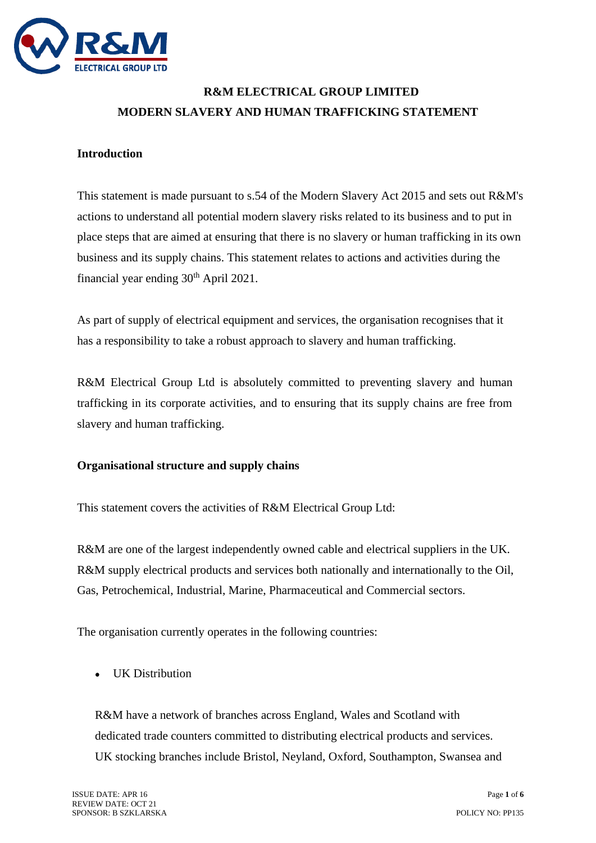

# **R&M ELECTRICAL GROUP LIMITED MODERN SLAVERY AND HUMAN TRAFFICKING STATEMENT**

#### **Introduction**

This statement is made pursuant to s.54 of the Modern Slavery Act 2015 and sets out R&M's actions to understand all potential modern slavery risks related to its business and to put in place steps that are aimed at ensuring that there is no slavery or human trafficking in its own business and its supply chains. This statement relates to actions and activities during the financial year ending  $30<sup>th</sup>$  April 2021.

As part of supply of electrical equipment and services, the organisation recognises that it has a responsibility to take a robust approach to slavery and human trafficking.

R&M Electrical Group Ltd is absolutely committed to preventing slavery and human trafficking in its corporate activities, and to ensuring that its supply chains are free from slavery and human trafficking.

#### **Organisational structure and supply chains**

This statement covers the activities of R&M Electrical Group Ltd:

R&M are one of the largest independently owned cable and electrical suppliers in the UK. R&M supply electrical products and services both nationally and internationally to the Oil, Gas, Petrochemical, Industrial, Marine, Pharmaceutical and Commercial sectors.

The organisation currently operates in the following countries:

UK Distribution

R&M have a network of branches across England, Wales and Scotland with dedicated trade counters committed to distributing electrical products and services. UK stocking branches include Bristol, Neyland, Oxford, Southampton, Swansea and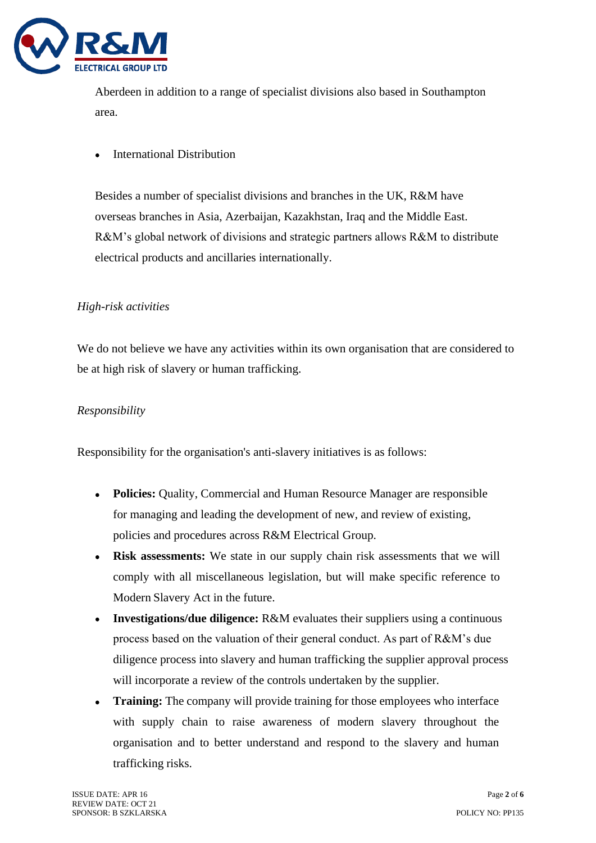

Aberdeen in addition to a range of specialist divisions also based in Southampton area.

• International Distribution

Besides a number of specialist divisions and branches in the UK, R&M have overseas branches in Asia, Azerbaijan, Kazakhstan, Iraq and the Middle East. R&M's global network of divisions and strategic partners allows R&M to distribute electrical products and ancillaries internationally.

# *High-risk activities*

We do not believe we have any activities within its own organisation that are considered to be at high risk of slavery or human trafficking.

# *Responsibility*

Responsibility for the organisation's anti-slavery initiatives is as follows:

- **Policies:** Quality, Commercial and Human Resource Manager are responsible for managing and leading the development of new, and review of existing, policies and procedures across R&M Electrical Group.
- **Risk assessments:** We state in our supply chain risk assessments that we will comply with all miscellaneous legislation, but will make specific reference to Modern Slavery Act in the future.
- **Investigations/due diligence:** R&M evaluates their suppliers using a continuous process based on the valuation of their general conduct. As part of R&M's due diligence process into slavery and human trafficking the supplier approval process will incorporate a review of the controls undertaken by the supplier.
- **Training:** The company will provide training for those employees who interface with supply chain to raise awareness of modern slavery throughout the organisation and to better understand and respond to the slavery and human trafficking risks.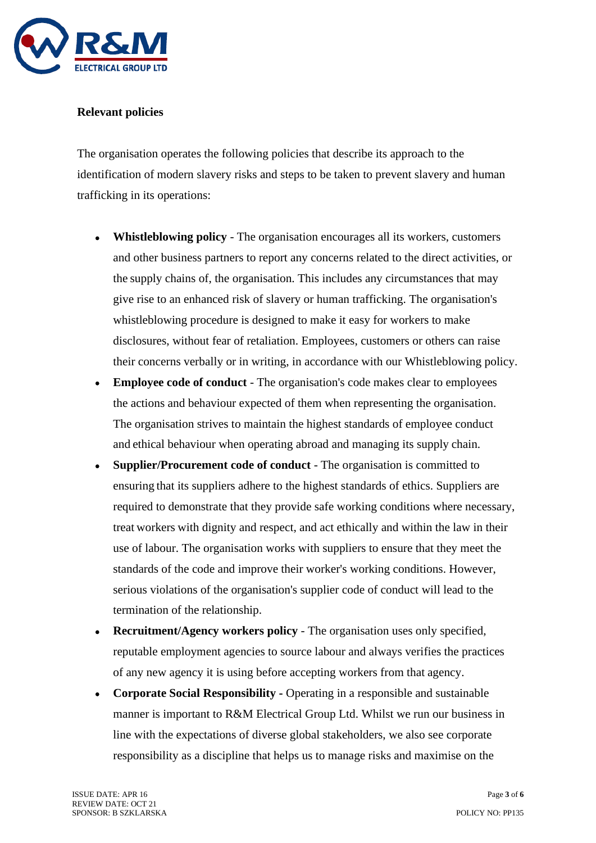

#### **Relevant policies**

The organisation operates the following policies that describe its approach to the identification of modern slavery risks and steps to be taken to prevent slavery and human trafficking in its operations:

- **Whistleblowing policy**  The organisation encourages all its workers, customers and other business partners to report any concerns related to the direct activities, or the supply chains of, the organisation. This includes any circumstances that may give rise to an enhanced risk of slavery or human trafficking. The organisation's whistleblowing procedure is designed to make it easy for workers to make disclosures, without fear of retaliation. Employees, customers or others can raise their concerns verbally or in writing, in accordance with our Whistleblowing policy.
- **Employee code of conduct**  The organisation's code makes clear to employees the actions and behaviour expected of them when representing the organisation. The organisation strives to maintain the highest standards of employee conduct and ethical behaviour when operating abroad and managing its supply chain.
- **Supplier/Procurement code of conduct** The organisation is committed to ensuring that its suppliers adhere to the highest standards of ethics. Suppliers are required to demonstrate that they provide safe working conditions where necessary, treat workers with dignity and respect, and act ethically and within the law in their use of labour. The organisation works with suppliers to ensure that they meet the standards of the code and improve their worker's working conditions. However, serious violations of the organisation's supplier code of conduct will lead to the termination of the relationship.
- **Recruitment/Agency workers policy**  The organisation uses only specified, reputable employment agencies to source labour and always verifies the practices of any new agency it is using before accepting workers from that agency.
- **Corporate Social Responsibility -** Operating in a responsible and sustainable manner is important to R&M Electrical Group Ltd. Whilst we run our business in line with the expectations of diverse global stakeholders, we also see corporate responsibility as a discipline that helps us to manage risks and maximise on the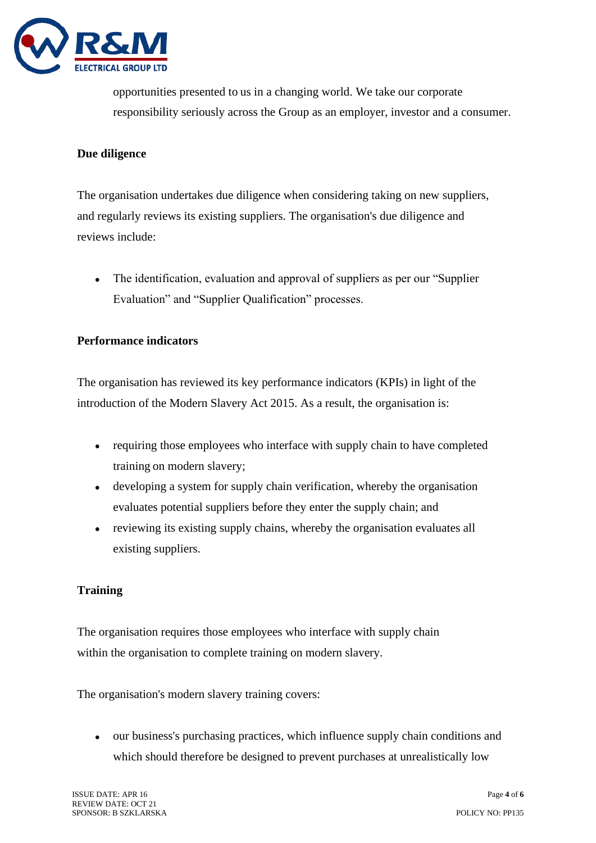

opportunities presented to us in a changing world. We take our corporate responsibility seriously across the Group as an employer, investor and a consumer.

# **Due diligence**

The organisation undertakes due diligence when considering taking on new suppliers, and regularly reviews its existing suppliers. The organisation's due diligence and reviews include:

• The identification, evaluation and approval of suppliers as per our "Supplier" Evaluation" and "Supplier Qualification" processes.

#### **Performance indicators**

The organisation has reviewed its key performance indicators (KPIs) in light of the introduction of the Modern Slavery Act 2015. As a result, the organisation is:

- requiring those employees who interface with supply chain to have completed training on modern slavery;
- developing a system for supply chain verification, whereby the organisation evaluates potential suppliers before they enter the supply chain; and
- reviewing its existing supply chains, whereby the organisation evaluates all existing suppliers.

# **Training**

The organisation requires those employees who interface with supply chain within the organisation to complete training on modern slavery.

The organisation's modern slavery training covers:

• our business's purchasing practices, which influence supply chain conditions and which should therefore be designed to prevent purchases at unrealistically low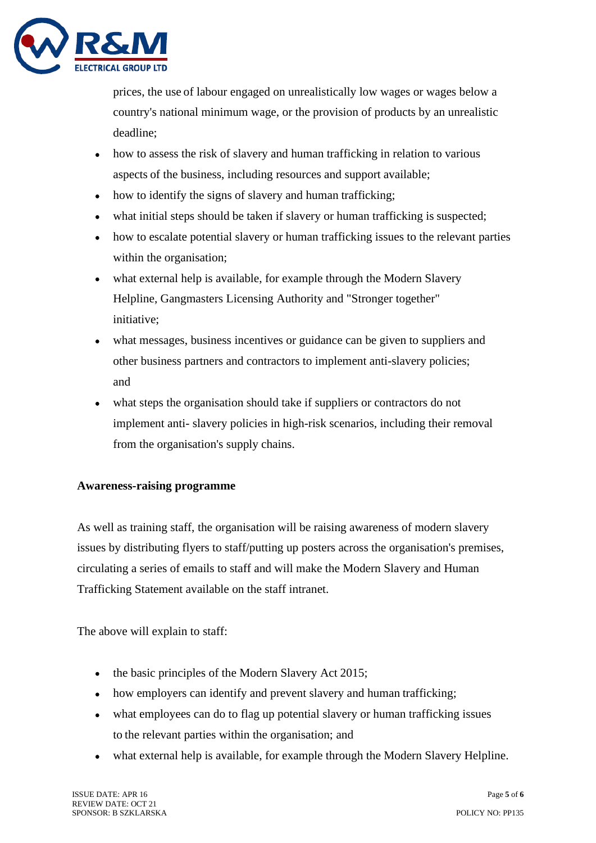

prices, the use of labour engaged on unrealistically low wages or wages below a country's national minimum wage, or the provision of products by an unrealistic deadline;

- how to assess the risk of slavery and human trafficking in relation to various aspects of the business, including resources and support available;
- how to identify the signs of slavery and human trafficking;
- what initial steps should be taken if slavery or human trafficking is suspected;
- how to escalate potential slavery or human trafficking issues to the relevant parties within the organisation;
- what external help is available, for example through the Modern Slavery Helpline, Gangmasters Licensing Authority and "Stronger together" initiative;
- what messages, business incentives or guidance can be given to suppliers and other business partners and contractors to implement anti-slavery policies; and
- what steps the organisation should take if suppliers or contractors do not implement anti- slavery policies in high-risk scenarios, including their removal from the organisation's supply chains.

# **Awareness-raising programme**

As well as training staff, the organisation will be raising awareness of modern slavery issues by distributing flyers to staff/putting up posters across the organisation's premises, circulating a series of emails to staff and will make the Modern Slavery and Human Trafficking Statement available on the staff intranet.

The above will explain to staff:

- the basic principles of the Modern Slavery Act 2015;
- how employers can identify and prevent slavery and human trafficking;
- what employees can do to flag up potential slavery or human trafficking issues to the relevant parties within the organisation; and
- what external help is available, for example through the Modern Slavery Helpline.